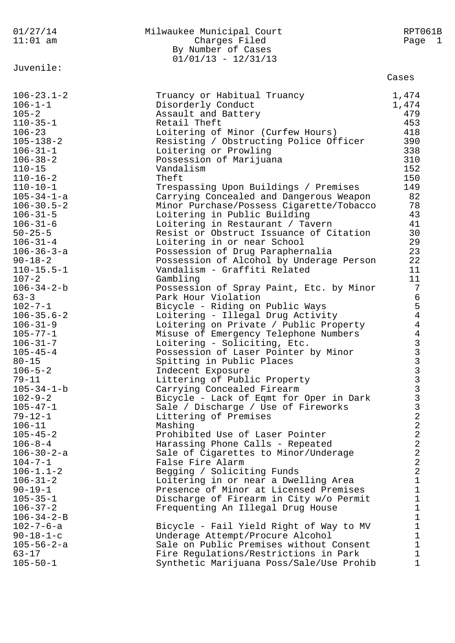| 01/27/14<br>$11:01$ am                                                                                                                                                                                                                                                                                                                                                                                                                                                                                                                                                                                                                                                                                                                                                                                          | Milwaukee Municipal Court<br>Charges Filed<br>By Number of Cases<br>$01/01/13 - 12/31/13$                                                                                                                                                                                                                                                                                                                                                                                                                                                                                                                                                                                                                                                                                                                                                                                                                                                                                                                                                                                                                                                                                                                                                                                                                                                                                                                                                                  | RPT061B<br>Page 1                                                                                                                                                                                                                                                                                                   |
|-----------------------------------------------------------------------------------------------------------------------------------------------------------------------------------------------------------------------------------------------------------------------------------------------------------------------------------------------------------------------------------------------------------------------------------------------------------------------------------------------------------------------------------------------------------------------------------------------------------------------------------------------------------------------------------------------------------------------------------------------------------------------------------------------------------------|------------------------------------------------------------------------------------------------------------------------------------------------------------------------------------------------------------------------------------------------------------------------------------------------------------------------------------------------------------------------------------------------------------------------------------------------------------------------------------------------------------------------------------------------------------------------------------------------------------------------------------------------------------------------------------------------------------------------------------------------------------------------------------------------------------------------------------------------------------------------------------------------------------------------------------------------------------------------------------------------------------------------------------------------------------------------------------------------------------------------------------------------------------------------------------------------------------------------------------------------------------------------------------------------------------------------------------------------------------------------------------------------------------------------------------------------------------|---------------------------------------------------------------------------------------------------------------------------------------------------------------------------------------------------------------------------------------------------------------------------------------------------------------------|
|                                                                                                                                                                                                                                                                                                                                                                                                                                                                                                                                                                                                                                                                                                                                                                                                                 |                                                                                                                                                                                                                                                                                                                                                                                                                                                                                                                                                                                                                                                                                                                                                                                                                                                                                                                                                                                                                                                                                                                                                                                                                                                                                                                                                                                                                                                            | Cases                                                                                                                                                                                                                                                                                                               |
| Juvenile:<br>$106 - 23.1 - 2$<br>$106 - 1 - 1$<br>$105 - 2$<br>$110 - 35 - 1$<br>$106 - 23$<br>$105 - 138 - 2$<br>$106 - 31 - 1$<br>$106 - 38 - 2$<br>$110 - 15$<br>$110 - 16 - 2$<br>$110 - 10 - 1$<br>$105 - 34 - 1 - a$<br>$106 - 30.5 - 2$<br>$106 - 31 - 5$<br>$106 - 31 - 6$<br>$50 - 25 - 5$<br>$106 - 31 - 4$<br>$106 - 36 - 3 - a$<br>$90 - 18 - 2$<br>$110 - 15.5 - 1$<br>$107 - 2$<br>$106 - 34 - 2 - b$<br>$63 - 3$<br>$102 - 7 - 1$<br>$106 - 35.6 - 2$<br>$106 - 31 - 9$<br>$105 - 77 - 1$<br>$106 - 31 - 7$<br>$105 - 45 - 4$<br>$80 - 15$<br>$106 - 5 - 2$<br>$79 - 11$<br>$105 - 34 - 1 - b$<br>$102 - 9 - 2$<br>$105 - 47 - 1$<br>$79 - 12 - 1$<br>$106 - 11$<br>$105 - 45 - 2$<br>$106 - 8 - 4$<br>$106 - 30 - 2 - a$<br>$104 - 7 - 1$<br>$106 - 1.1 - 2$<br>$106 - 31 - 2$<br>$90 - 19 - 1$ | Truancy or Habitual Truancy<br>Disorderly Conduct<br>Assault and Battery<br>Retail Theft<br>Loitering of Minor (Curfew Hours)<br>Resisting / Obstructing Police Officer<br>Loitering or Prowling<br>Possession of Marijuana<br>Vandalism<br>Theft<br>Trespassing Upon Buildings / Premises<br>Carrying Concealed and Dangerous Weapon<br>Minor Purchase/Possess Cigarette/Tobacco<br>Loitering in Public Building<br>Loitering in Restaurant / Tavern<br>Resist or Obstruct Issuance of Citation<br>Loitering in or near School<br>Possession of Drug Paraphernalia<br>Possession of Alcohol by Underage Person<br>Vandalism - Graffiti Related<br>Gambling<br>Possession of Spray Paint, Etc. by Minor<br>Park Hour Violation<br>Bicycle - Riding on Public Ways<br>Loitering - Illegal Drug Activity<br>Loitering on Private / Public Property<br>Misuse of Emergency Telephone Numbers<br>Loitering - Soliciting, Etc.<br>Possession of Laser Pointer by Minor<br>Spitting in Public Places<br>Indecent Exposure<br>Littering of Public Property<br>Carrying Concealed Firearm<br>Bicycle - Lack of Eqmt for Oper in Dark<br>Sale / Discharge / Use of Fireworks<br>Littering of Premises<br>Mashing<br>Prohibited Use of Laser Pointer<br>Harassing Phone Calls - Repeated<br>Sale of Cigarettes to Minor/Underage<br>False Fire Alarm<br>Begging / Soliciting Funds<br>Loitering in or near a Dwelling Area<br>Presence of Minor at Licensed Premises | 1,474<br>1,474<br>479<br>453<br>418<br>390<br>338<br>310<br>152<br>150<br>149<br>82<br>78<br>43<br>41<br>30<br>29<br>23<br>22<br>11<br>11<br>$7\phantom{.0}$<br>$\epsilon$<br>$\frac{5}{4}$<br>$\overline{4}$<br>$\begin{array}{c}\n4 \\ 3 \\ 3 \\ 3\n\end{array}$<br>3<br>3333222222<br>$\mathbf 1$<br>$\mathbf 1$ |
| $105 - 35 - 1$<br>$106 - 37 - 2$<br>$106 - 34 - 2 - B$                                                                                                                                                                                                                                                                                                                                                                                                                                                                                                                                                                                                                                                                                                                                                          | Discharge of Firearm in City w/o Permit<br>Frequenting An Illegal Drug House                                                                                                                                                                                                                                                                                                                                                                                                                                                                                                                                                                                                                                                                                                                                                                                                                                                                                                                                                                                                                                                                                                                                                                                                                                                                                                                                                                               | $\mathbf 1$<br>$\mathbf 1$<br>$\mathbf 1$                                                                                                                                                                                                                                                                           |
| $102 - 7 - 6 - a$<br>$90 - 18 - 1 - c$<br>$105 - 56 - 2 - a$                                                                                                                                                                                                                                                                                                                                                                                                                                                                                                                                                                                                                                                                                                                                                    | Bicycle - Fail Yield Right of Way to MV<br>Underage Attempt/Procure Alcohol<br>Sale on Public Premises without Consent                                                                                                                                                                                                                                                                                                                                                                                                                                                                                                                                                                                                                                                                                                                                                                                                                                                                                                                                                                                                                                                                                                                                                                                                                                                                                                                                     | $\mathbf 1$<br>$\mathbf 1$<br>$\mathbf 1$                                                                                                                                                                                                                                                                           |
| $63 - 17$<br>$105 - 50 - 1$                                                                                                                                                                                                                                                                                                                                                                                                                                                                                                                                                                                                                                                                                                                                                                                     | Fire Regulations/Restrictions in Park<br>Synthetic Marijuana Poss/Sale/Use Prohib                                                                                                                                                                                                                                                                                                                                                                                                                                                                                                                                                                                                                                                                                                                                                                                                                                                                                                                                                                                                                                                                                                                                                                                                                                                                                                                                                                          | $\mathbf{1}$<br>$\mathbf{1}$                                                                                                                                                                                                                                                                                        |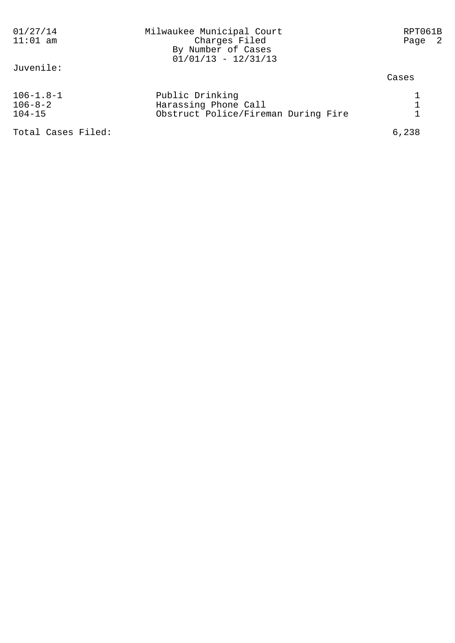| 01/27/14<br>$11:01$ am                         | Milwaukee Municipal Court<br>Charges Filed<br>By Number of Cases<br>$01/01/13 - 12/31/13$ | RPT061B<br>Page 2 |  |
|------------------------------------------------|-------------------------------------------------------------------------------------------|-------------------|--|
| Juvenile:                                      |                                                                                           | Cases             |  |
| $106 - 1.8 - 1$<br>$106 - 8 - 2$<br>$104 - 15$ | Public Drinking<br>Harassing Phone Call<br>Obstruct Police/Fireman During Fire            |                   |  |
| Total Cases Filed:                             |                                                                                           | 6,238             |  |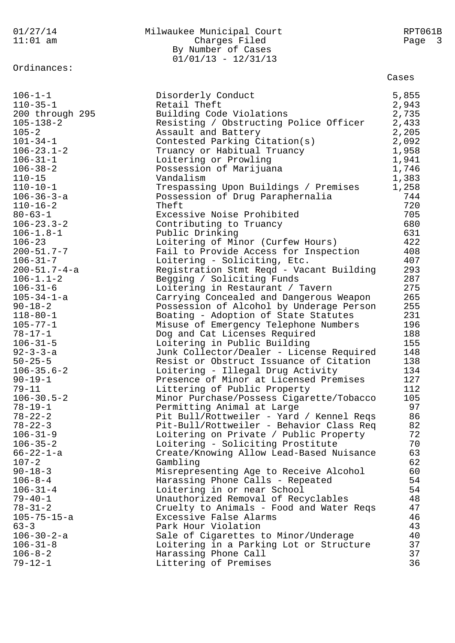| 01/27/14                          | Milwaukee Municipal Court                                                          | RPT061B    |
|-----------------------------------|------------------------------------------------------------------------------------|------------|
| $11:01$ am                        | Charges Filed                                                                      | Page 3     |
|                                   | By Number of Cases                                                                 |            |
| Ordinances:                       | $01/01/13 - 12/31/13$                                                              |            |
|                                   |                                                                                    | Cases      |
| $106 - 1 - 1$                     | Disorderly Conduct                                                                 | 5,855      |
| $110 - 35 - 1$                    | Retail Theft                                                                       | 2,943      |
| 200 through 295                   | Building Code Violations                                                           | 2,735      |
| $105 - 138 - 2$                   | Resisting / Obstructing Police Officer                                             | 2,433      |
| $105 - 2$                         | Assault and Battery                                                                | 2,205      |
| $101 - 34 - 1$                    | Contested Parking Citation(s)                                                      | 2,092      |
| $106 - 23.1 - 2$                  | Truancy or Habitual Truancy                                                        | 1,958      |
| $106 - 31 - 1$                    | Loitering or Prowling                                                              | 1,941      |
| $106 - 38 - 2$                    | Possession of Marijuana                                                            | 1,746      |
| $110 - 15$                        | Vandalism                                                                          | 1,383      |
| $110 - 10 - 1$                    | Trespassing Upon Buildings / Premises                                              | 1,258      |
| $106 - 36 - 3 - a$                | Possession of Drug Paraphernalia                                                   | 744        |
| $110 - 16 - 2$                    | Theft                                                                              | 720        |
| $80 - 63 - 1$                     | Excessive Noise Prohibited                                                         | 705        |
| $106 - 23.3 - 2$                  | Contributing to Truancy                                                            | 680        |
| $106 - 1.8 - 1$                   | Public Drinking                                                                    | 631        |
| $106 - 23$                        | Loitering of Minor (Curfew Hours)                                                  | 422        |
| $200 - 51.7 - 7$                  | Fail to Provide Access for Inspection                                              | 408        |
| $106 - 31 - 7$                    | Loitering - Soliciting, Etc.                                                       | 407        |
| $200 - 51.7 - 4 - a$              | Registration Stmt Reqd - Vacant Building                                           | 293<br>287 |
| $106 - 1.1 - 2$<br>$106 - 31 - 6$ | Begging / Soliciting Funds<br>Loitering in Restaurant / Tavern                     | 275        |
| $105 - 34 - 1 - a$                | Carrying Concealed and Dangerous Weapon                                            | 265        |
| $90 - 18 - 2$                     | Possession of Alcohol by Underage Person                                           | 255        |
| $118 - 80 - 1$                    | Boating - Adoption of State Statutes                                               | 231        |
| $105 - 77 - 1$                    | Misuse of Emergency Telephone Numbers                                              | 196        |
| $78 - 17 - 1$                     | Dog and Cat Licenses Required                                                      | 188        |
| $106 - 31 - 5$                    | Loitering in Public Building                                                       | 155        |
| $92 - 3 - 3 - a$                  | Junk Collector/Dealer - License Required                                           | 148        |
| $50 - 25 - 5$                     | Resist or Obstruct Issuance of Citation                                            | 138        |
| $106 - 35.6 - 2$                  | Loitering - Illegal Drug Activity                                                  | 134        |
| $90 - 19 - 1$                     | Presence of Minor at Licensed Premises                                             | 127        |
| $79 - 11$                         | Littering of Public Property                                                       | 112        |
| $106 - 30.5 - 2$                  | Minor Purchase/Possess Cigarette/Tobacco                                           | 105        |
| $78 - 19 - 1$                     | Permitting Animal at Large                                                         | 97         |
| $78 - 22 - 2$<br>$78 - 22 - 3$    | Pit Bull/Rottweiler - Yard / Kennel Reqs                                           | 86<br>82   |
| $106 - 31 - 9$                    | Pit-Bull/Rottweiler - Behavior Class Req<br>Loitering on Private / Public Property | 72         |
| $106 - 35 - 2$                    | Loitering - Soliciting Prostitute                                                  | 70         |
| $66 - 22 - 1 - a$                 | Create/Knowing Allow Lead-Based Nuisance                                           | 63         |
| $107 - 2$                         | Gambling                                                                           | 62         |
| $90 - 18 - 3$                     | Misrepresenting Age to Receive Alcohol                                             | 60         |
| $106 - 8 - 4$                     | Harassing Phone Calls - Repeated                                                   | 54         |
| $106 - 31 - 4$                    | Loitering in or near School                                                        | 54         |
| $79 - 40 - 1$                     | Unauthorized Removal of Recyclables                                                | 48         |
| $78 - 31 - 2$                     | Cruelty to Animals - Food and Water Reqs                                           | 47         |
| $105 - 75 - 15 - a$               | Excessive False Alarms                                                             | 46         |
| $63 - 3$                          | Park Hour Violation                                                                | 43         |
| $106 - 30 - 2 - a$                | Sale of Cigarettes to Minor/Underage                                               | 40         |
| $106 - 31 - 8$                    | Loitering in a Parking Lot or Structure                                            | 37         |
| $106 - 8 - 2$                     | Harassing Phone Call                                                               | 37         |
| $79 - 12 - 1$                     | Littering of Premises                                                              | 36         |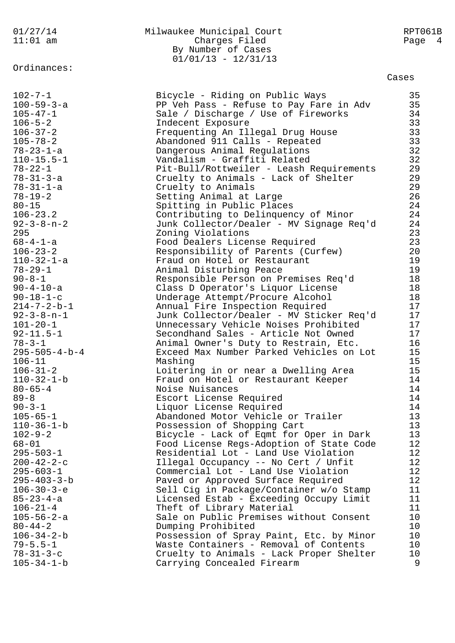## 01/27/14 Milwaukee Municipal Court RPT061B 11:01 am Charges Filed Page 4 By Number of Cases 01/01/13 - 12/31/13

Cases

| $102 - 7 - 1$           | Bicycle - Riding on Public Ways          | 35              |
|-------------------------|------------------------------------------|-----------------|
| $100 - 59 - 3 - a$      | PP Veh Pass - Refuse to Pay Fare in Adv  | 35              |
| $105 - 47 - 1$          | Sale / Discharge / Use of Fireworks      | 34              |
| $106 - 5 - 2$           | Indecent Exposure                        | 33              |
| $106 - 37 - 2$          | Frequenting An Illegal Drug House        | 33              |
| $105 - 78 - 2$          | Abandoned 911 Calls - Repeated           | 33              |
| $78 - 23 - 1 - a$       | Dangerous Animal Regulations             | 32              |
| $110 - 15.5 - 1$        | Vandalism - Graffiti Related             | 32              |
| $78 - 22 - 1$           | Pit-Bull/Rottweiler - Leash Requirements | 29              |
| $78 - 31 - 3 - a$       | Cruelty to Animals - Lack of Shelter     | 29              |
| $78 - 31 - 1 - a$       | Cruelty to Animals                       | 29              |
| $78 - 19 - 2$           | Setting Animal at Large                  | 26              |
| $80 - 15$               | Spitting in Public Places                | 24              |
| $106 - 23.2$            | Contributing to Delinquency of Minor     | 24              |
| $92 - 3 - 8 - n - 2$    | Junk Collector/Dealer - MV Signage Req'd | 24              |
| 295                     | Zoning Violations                        | 23              |
| $68 - 4 - 1 - a$        | Food Dealers License Required            | 23              |
| $106 - 23 - 2$          | Responsibility of Parents (Curfew)       | 20              |
| $110 - 32 - 1 - a$      | Fraud on Hotel or Restaurant             | 19              |
| $78 - 29 - 1$           | Animal Disturbing Peace                  | 19              |
| $90 - 8 - 1$            | Responsible Person on Premises Req'd     | 18              |
| $90 - 4 - 10 - a$       | Class D Operator's Liquor License        | 18              |
| $90 - 18 - 1 - c$       | Underage Attempt/Procure Alcohol         | 18              |
| $214 - 7 - 2 - b - 1$   | Annual Fire Inspection Required          | 17              |
| $92 - 3 - 8 - n - 1$    | Junk Collector/Dealer - MV Sticker Req'd | 17              |
| $101 - 20 - 1$          | Unnecessary Vehicle Noises Prohibited    | 17              |
| $92 - 11.5 - 1$         | Secondhand Sales - Article Not Owned     | 17              |
| $78 - 3 - 1$            | Animal Owner's Duty to Restrain, Etc.    | 16              |
| $295 - 505 - 4 - b - 4$ | Exceed Max Number Parked Vehicles on Lot | 15              |
| $106 - 11$              | Mashing                                  | 15              |
| $106 - 31 - 2$          | Loitering in or near a Dwelling Area     | 15              |
| $110 - 32 - 1 - b$      | Fraud on Hotel or Restaurant Keeper      | 14              |
| $80 - 65 - 4$           | Noise Nuisances                          | 14              |
| $89 - 8$                | Escort License Required                  | 14              |
| $90 - 3 - 1$            | Liquor License Required                  | 14              |
| $105 - 65 - 1$          | Abandoned Motor Vehicle or Trailer       | 13              |
| $110 - 36 - 1 - b$      | Possession of Shopping Cart              | 13              |
| $102 - 9 - 2$           | Bicycle - Lack of Eqmt for Oper in Dark  | 13              |
| $68 - 01$               | Food License Regs-Adoption of State Code | 12              |
| $295 - 503 - 1$         | Residential Lot - Land Use Violation     | 12              |
| $200 - 42 - 2 - c$      | Illegal Occupancy -- No Cert / Unfit     | 12              |
| $295 - 603 - 1$         | Commercial Lot - Land Use Violation      | 12              |
| $295 - 403 - 3 - b$     | Paved or Approved Surface Required       | 12              |
| $106 - 30 - 3 - e$      | Sell Cig in Package/Container w/o Stamp  | 11              |
| $85 - 23 - 4 - a$       | Licensed Estab - Exceeding Occupy Limit  | 11              |
| $106 - 21 - 4$          | Theft of Library Material                | 11              |
| $105 - 56 - 2 - a$      | Sale on Public Premises without Consent  | 10              |
| $80 - 44 - 2$           | Dumping Prohibited                       | 10 <sub>o</sub> |
| $106 - 34 - 2 - b$      | Possession of Spray Paint, Etc. by Minor | 10 <sub>o</sub> |
| $79 - 5.5 - 1$          | Waste Containers - Removal of Contents   | 10 <sub>o</sub> |
| $78 - 31 - 3 - c$       | Cruelty to Animals - Lack Proper Shelter | 10 <sub>o</sub> |
| $105 - 34 - 1 - b$      | Carrying Concealed Firearm               | 9               |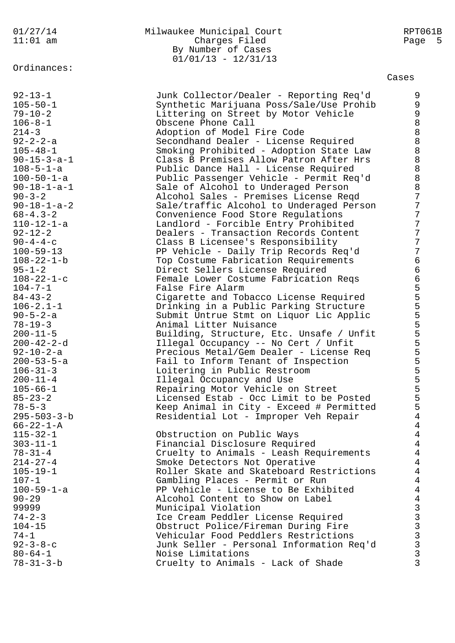## 01/27/14 Milwaukee Municipal Court RPT061B Charges Filed Page 5 By Number of Cases  $01/01/13 - 12/31/13$

Cases

| $92 - 13 - 1$<br>$105 - 50 - 1$<br>$79 - 10 - 2$<br>$106 - 8 - 1$<br>$214 - 3$ | Junk Collector/Dealer - Reporting Req'd<br>Synthetic Marijuana Poss/Sale/Use Prohib<br>Littering on Street by Motor Vehicle<br>Obscene Phone Call<br>Adoption of Model Fire Code | 9<br>9<br>9<br>$\,8\,$<br>$\,8\,$                          |
|--------------------------------------------------------------------------------|----------------------------------------------------------------------------------------------------------------------------------------------------------------------------------|------------------------------------------------------------|
| $92 - 2 - 2 - a$                                                               | Secondhand Dealer - License Required                                                                                                                                             | $\,8\,$                                                    |
| $105 - 48 - 1$                                                                 |                                                                                                                                                                                  | $\,8\,$                                                    |
|                                                                                | Smoking Prohibited - Adoption State Law                                                                                                                                          | $\,8\,$                                                    |
| $90 - 15 - 3 - a - 1$                                                          | Class B Premises Allow Patron After Hrs                                                                                                                                          | $\,8\,$                                                    |
| $108 - 5 - 1 - a$                                                              | Public Dance Hall - License Required                                                                                                                                             |                                                            |
| $100 - 50 - 1 - a$                                                             | Public Passenger Vehicle - Permit Req'd                                                                                                                                          | $\,8\,$                                                    |
| $90 - 18 - 1 - a - 1$                                                          | Sale of Alcohol to Underaged Person                                                                                                                                              | 8                                                          |
| $90 - 3 - 2$                                                                   | Alcohol Sales - Premises License Reqd                                                                                                                                            | $\overline{7}$                                             |
| $90 - 18 - 1 - a - 2$                                                          | Sale/traffic Alcohol to Underaged Person                                                                                                                                         | 7                                                          |
| $68 - 4.3 - 2$                                                                 | Convenience Food Store Regulations                                                                                                                                               | 7                                                          |
| 110-12-1-a                                                                     | Landlord - Forcible Entry Prohibited                                                                                                                                             | 7                                                          |
| $92 - 12 - 2$                                                                  | Dealers - Transaction Records Content                                                                                                                                            | 7                                                          |
| $90 - 4 - 4 - c$                                                               | Class B Licensee's Responsibility                                                                                                                                                | 7                                                          |
| $100 - 59 - 13$                                                                | PP Vehicle - Daily Trip Records Req'd                                                                                                                                            | 7                                                          |
| $108 - 22 - 1 - b$                                                             | Top Costume Fabrication Requirements                                                                                                                                             | $\sqrt{6}$                                                 |
| $95 - 1 - 2$                                                                   | Direct Sellers License Required                                                                                                                                                  |                                                            |
| $108 - 22 - 1 - c$                                                             | Female Lower Costume Fabrication Reqs                                                                                                                                            |                                                            |
| $104 - 7 - 1$                                                                  | False Fire Alarm                                                                                                                                                                 |                                                            |
| $84 - 43 - 2$                                                                  | Cigarette and Tobacco License Required                                                                                                                                           |                                                            |
| $106 - 2.1 - 1$                                                                | Drinking in a Public Parking Structure                                                                                                                                           |                                                            |
| $90 - 5 - 2 - a$                                                               | Submit Untrue Stmt on Liquor Lic Applic                                                                                                                                          |                                                            |
| $78 - 19 - 3$                                                                  | Animal Litter Nuisance                                                                                                                                                           |                                                            |
| $200 - 11 - 5$                                                                 | Building, Structure, Etc. Unsafe / Unfit                                                                                                                                         | 6655555555555555                                           |
| $200 - 42 - 2 - d$                                                             | Illegal Occupancy -- No Cert / Unfit                                                                                                                                             |                                                            |
| $92 - 10 - 2 - a$                                                              | Precious Metal/Gem Dealer - License Req                                                                                                                                          |                                                            |
| $200 - 53 - 5 - a$                                                             | Fail to Inform Tenant of Inspection                                                                                                                                              |                                                            |
| $106 - 31 - 3$                                                                 | Loitering in Public Restroom                                                                                                                                                     |                                                            |
| $200 - 11 - 4$                                                                 | Illegal Occupancy and Use                                                                                                                                                        |                                                            |
| $105 - 66 - 1$                                                                 | Repairing Motor Vehicle on Street                                                                                                                                                |                                                            |
| $85 - 23 - 2$                                                                  | Licensed Estab - Occ Limit to be Posted                                                                                                                                          |                                                            |
| $78 - 5 - 3$                                                                   | Keep Animal in City - Exceed # Permitted                                                                                                                                         |                                                            |
| $295 - 503 - 3 - b$                                                            | Residential Lot - Improper Veh Repair                                                                                                                                            | $\overline{4}$                                             |
| $66 - 22 - 1 - A$                                                              |                                                                                                                                                                                  | 4                                                          |
| $115 - 32 - 1$                                                                 | Obstruction on Public Ways                                                                                                                                                       | 4                                                          |
| $303 - 11 - 1$                                                                 | Financial Disclosure Required                                                                                                                                                    | 4                                                          |
| $78 - 31 - 4$<br>$214 - 27 - 4$                                                | Cruelty to Animals - Leash Requirements                                                                                                                                          | 4                                                          |
| $105 - 19 - 1$                                                                 | Smoke Detectors Not Operative                                                                                                                                                    | 4<br>$\overline{4}$                                        |
| $107 - 1$                                                                      | Roller Skate and Skateboard Restrictions                                                                                                                                         | $\overline{4}$                                             |
|                                                                                | Gambling Places - Permit or Run                                                                                                                                                  |                                                            |
| $100 - 59 - 1 - a$                                                             | PP Vehicle - License to Be Exhibited                                                                                                                                             | $\overline{4}$                                             |
| $90 - 29$<br>99999                                                             | Alcohol Content to Show on Label                                                                                                                                                 | $\bf 4$                                                    |
| $74 - 2 - 3$                                                                   | Municipal Violation                                                                                                                                                              | <b>S</b><br>B<br>B<br>B<br>B<br>B<br>B<br>B<br>B<br>B<br>B |
| $104 - 15$                                                                     | Ice Cream Peddler License Required                                                                                                                                               |                                                            |
| $74 - 1$                                                                       | Obstruct Police/Fireman During Fire<br>Vehicular Food Peddlers Restrictions                                                                                                      |                                                            |
| $92 - 3 - 8 - c$                                                               | Junk Seller - Personal Information Req'd                                                                                                                                         |                                                            |
| $80 - 64 - 1$                                                                  | Noise Limitations                                                                                                                                                                | $\mathbf{3}$                                               |
| $78 - 31 - 3 - b$                                                              | Cruelty to Animals - Lack of Shade                                                                                                                                               | $\mathfrak{Z}$                                             |
|                                                                                |                                                                                                                                                                                  |                                                            |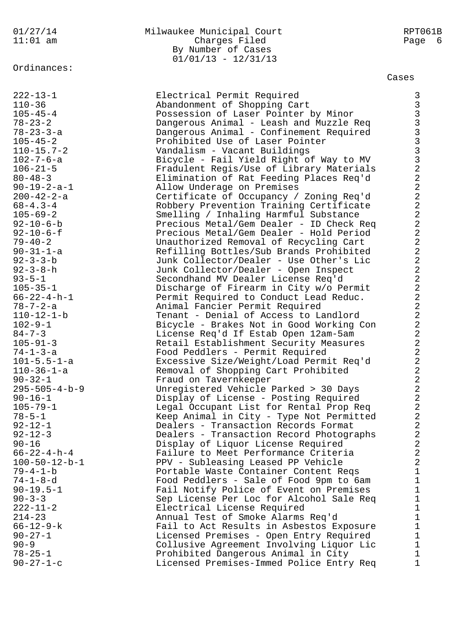## 01/27/14 Milwaukee Municipal Court RPT061B 11:01 am Charges Filed Page 6 By Number of Cases  $01/01/13 - 12/31/13$

## Cases

222-13-1 Electrical Permit Required 3 110-36 Abandonment of Shopping Cart 3 105-45-4 Possession of Laser Pointer by Minor 3 78-23-2 Dangerous Animal - Leash and Muzzle Req 3 78-23-3-a Dangerous Animal - Confinement Required 3 105-45-2 Prohibited Use of Laser Pointer 3 110-15.7-2 Vandalism - Vacant Buildings 3 102-7-6-a Bicycle - Fail Yield Right of Way to MV 3 106-21-5 Fradulent Regis/Use of Library Materials 2 80-48-3 Elimination of Rat Feeding Places Req'd 2 90-19-2-a-1 Allow Underage on Premises 2 200-42-2-a Certificate of Occupancy / Zoning Req'd 2 68-4.3-4 Robbery Prevention Training Certificate 2 105-69-2 Smelling / Inhaling Harmful Substance 2 92-10-6-b Precious Metal/Gem Dealer - ID Check Req 2 92-10-6-f Precious Metal/Gem Dealer - Hold Period 2 79-40-2 Unauthorized Removal of Recycling Cart 2 90-31-1-a Refilling Bottles/Sub Brands Prohibited 2 92-3-3-b Junk Collector/Dealer - Use Other's Lic 2 92-3-8-h Junk Collector/Dealer - Open Inspect 2 93-5-1 Secondhand MV Dealer License Req'd 2 105-35-1 Discharge of Firearm in City w/o Permit 2 66-22-4-h-1 Permit Required to Conduct Lead Reduc. 2 78-7-2-a Animal Fancier Permit Required 2 110-12-1-b Tenant - Denial of Access to Landlord 2 102-9-1 Bicycle - Brakes Not in Good Working Con 2 84-7-3 License Req'd If Estab Open 12am-5am 2 105-91-3 Retail Establishment Security Measures 2 74-1-3-a Food Peddlers - Permit Required 2 101-5.5-1-a Excessive Size/Weight/Load Permit Req'd 2 110-36-1-a Removal of Shopping Cart Prohibited 2 90-32-1 Fraud on Tavernkeeper 2 295-505-4-b-9 Unregistered Vehicle Parked > 30 Days 2 90-16-1 Display of License - Posting Required 2 105-79-1 Legal Occupant List for Rental Prop Req 2 78-5-1 Keep Animal in City - Type Not Permitted 2 92-12-1 Dealers - Transaction Records Format 2 92-12-3 Dealers - Transaction Record Photographs 2 90-16 Display of Liquor License Required 2 66-22-4-h-4 Failure to Meet Performance Criteria 2 100-50-12-b-1 PPV - Subleasing Leased PP Vehicle 2 79-4-1-b Portable Waste Container Content Reqs 1 74-1-8-d Food Peddlers - Sale of Food 9pm to 6am 1 90-19.5-1 Fail Notify Police of Event on Premises 1 90-3-3 Sep License Per Loc for Alcohol Sale Req 1 222-11-2 Electrical License Required 1 214-23 Annual Test of Smoke Alarms Req'd 1 66-12-9-k Fail to Act Results in Asbestos Exposure 1 90-27-1 Licensed Premises - Open Entry Required 1 90-9 Collusive Agreement Involving Liquor Lic 1 78-25-1 Prohibited Dangerous Animal in City 1 90-27-1-c Licensed Premises-Immed Police Entry Req 1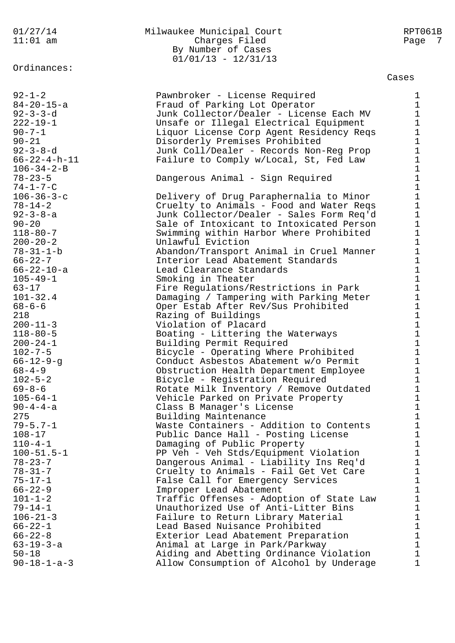#### 01/27/14 Milwaukee Municipal Court RPT061B 11:01 am Charges Filed Page 7 By Number of Cases  $01/01/13 - 12/31/13$

#### Cases

92-1-2 Pawnbroker - License Required 1 84-20-15-a Fraud of Parking Lot Operator 1 92-3-3-d Junk Collector/Dealer - License Each MV 1 222-19-1 Unsafe or Illegal Electrical Equipment 1 90-7-1 Liquor License Corp Agent Residency Reqs 1 90-21 Disorderly Premises Prohibited 1 92-3-8-d Junk Coll/Dealer - Records Non-Reg Prop 1 66-22-4-h-11 Failure to Comply w/Local, St, Fed Law 1  $106 - 34 - 2 - B$  1 78-23-5 Dangerous Animal - Sign Required 1  $74-1-7-C$  1 106-36-3-c Delivery of Drug Paraphernalia to Minor 1 78-14-2 Cruelty to Animals - Food and Water Reqs 1 92-3-8-a Junk Collector/Dealer - Sales Form Req'd 1 90-20 Sale of Intoxicant to Intoxicated Person 1 118-80-7 Swimming within Harbor Where Prohibited 1 200-20-2 Unlawful Eviction 1 78-31-1-b Abandon/Transport Animal in Cruel Manner 1 66-22-7 Interior Lead Abatement Standards 1 66-22-10-a Lead Clearance Standards 1 105-49-1 Smoking in Theater 1 63-17 Fire Regulations/Restrictions in Park 1 101-32.4 Damaging / Tampering with Parking Meter 1 68-6-6 Oper Estab After Rev/Sus Prohibited 1 218 **Razing of Buildings** 1 200-11-3 Violation of Placard 1 118-80-5 Boating - Littering the Waterways 1 200-24-1 Building Permit Required 1 102-7-5 Bicycle - Operating Where Prohibited 1 66-12-9-g Conduct Asbestos Abatement w/o Permit 1 68-4-9 Obstruction Health Department Employee 1 102-5-2 Bicycle - Registration Required 1 69-8-6 Rotate Milk Inventory / Remove Outdated 1 105-64-1 Vehicle Parked on Private Property 1 90-4-4-a Class B Manager's License 1 275 Building Maintenance 1 79-5.7-1 Waste Containers - Addition to Contents 1 108-17 Public Dance Hall - Posting License 1 110-4-1 Damaging of Public Property 1 100-51.5-1 PP Veh - Veh Stds/Equipment Violation 1 78-23-7 Dangerous Animal - Liability Ins Req'd 1 78-31-7 Cruelty to Animals - Fail Get Vet Care 1 75-17-1 False Call for Emergency Services 1 66-22-9 Improper Lead Abatement 1 101-1-2 Traffic Offenses - Adoption of State Law 1 79-14-1 Unauthorized Use of Anti-Litter Bins 1 106-21-3 Failure to Return Library Material 1 66-22-1 Lead Based Nuisance Prohibited 1 66-22-8 Exterior Lead Abatement Preparation 1 63-19-3-a Animal at Large in Park/Parkway 1 50-18 Aiding and Abetting Ordinance Violation 1 90-18-1-a-3 Allow Consumption of Alcohol by Underage 1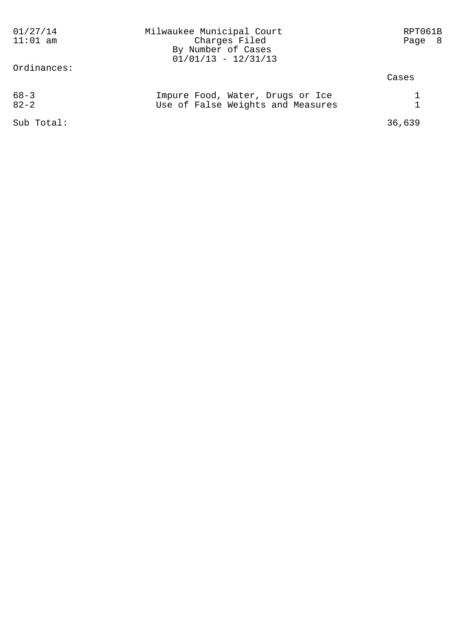| 01/27/14<br>$11:01$ am<br>Ordinances: | Milwaukee Municipal Court<br>Charges Filed<br>By Number of Cases<br>$01/01/13 - 12/31/13$ | RPT061B<br>Page 8 |
|---------------------------------------|-------------------------------------------------------------------------------------------|-------------------|
|                                       |                                                                                           | Cases             |
| $68 - 3$<br>$82 - 2$                  | Impure Food, Water, Drugs or Ice<br>Use of False Weights and Measures                     |                   |
| Sub Total:                            |                                                                                           | 36,639            |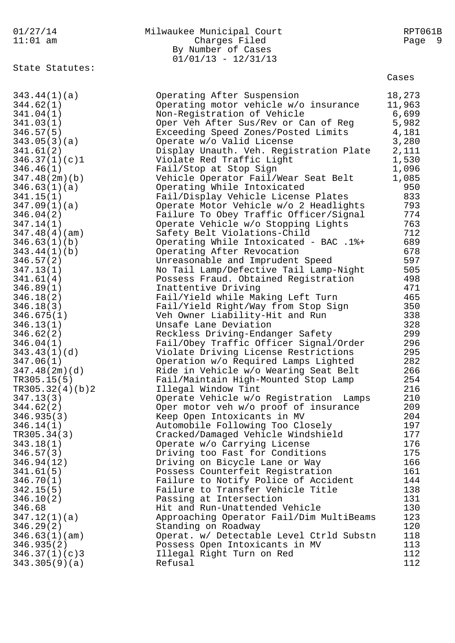#### State Statutes:

### 01/27/14 Milwaukee Municipal Court RPT061B 11:01 am Charges Filed Page 9 By Number of Cases  $01/01/13 - 12/31/13$

Cases

| 343.44(1)(a)<br>344.62(1)<br>341.04(1)<br>341.03(1)<br>346.57(5)<br>343.05(3)(a)<br>341.61(2)<br>346.37(1)(c)1<br>346.46(1)<br>347.48(2m)(b)<br>346.63(1)(a)<br>341.15(1)<br>347.09(1)(a)<br>346.04(2)<br>347.14(1)<br>347.48(4)(am)<br>346.63(1)(b)<br>343.44(1)(b)<br>346.57(2)<br>347.13(1)<br>341.61(4)<br>346.89(1)<br>346.18(2)<br>346.18(3)<br>346.675(1)<br>346.13(1)<br>346.62(2)<br>346.04(1)<br>343.43(1)(d)<br>347.06(1)<br>347.48(2m)(d)<br>TR305.15(5)<br>TR305.32(4)(b)2<br>347.13(3)<br>344.62(2)<br>346.935(3)<br>346.14(1)<br>TR305.34(3)<br>343.18(1)<br>346.57(3)<br>346.94(12)<br>341.61(5)<br>346.70(1)<br>342.15(5)<br>346.10(2) | Operating After Suspension<br>Operating motor vehicle w/o insurance<br>Non-Registration of Vehicle<br>Oper Veh After Sus/Rev or Can of Reg<br>Exceeding Speed Zones/Posted Limits<br>Operate w/o Valid License<br>Display Unauth. Veh. Registration Plate<br>Violate Red Traffic Light<br>Fail/Stop at Stop Sign<br>Vehicle Operator Fail/Wear Seat Belt<br>Operating While Intoxicated<br>Fail/Display Vehicle License Plates<br>Operate Motor Vehicle w/o 2 Headlights<br>Failure To Obey Traffic Officer/Signal<br>Operate Vehicle w/o Stopping Lights<br>Safety Belt Violations-Child<br>Operating While Intoxicated - BAC .1%+<br>Operating After Revocation<br>Unreasonable and Imprudent Speed<br>No Tail Lamp/Defective Tail Lamp-Night<br>Possess Fraud. Obtained Registration<br>Inattentive Driving<br>Fail/Yield while Making Left Turn<br>Fail/Yield Right/Way from Stop Sign<br>Veh Owner Liability-Hit and Run<br>Unsafe Lane Deviation<br>Reckless Driving-Endanger Safety<br>Fail/Obey Traffic Officer Signal/Order<br>Violate Driving License Restrictions<br>Operation w/o Required Lamps Lighted<br>Ride in Vehicle w/o Wearing Seat Belt<br>Fail/Maintain High-Mounted Stop Lamp<br>Illegal Window Tint<br>Operate Vehicle w/o Registration Lamps<br>Oper motor veh w/o proof of insurance<br>Keep Open Intoxicants in MV<br>Automobile Following Too Closely<br>Cracked/Damaged Vehicle Windshield<br>Operate w/o Carrying License<br>Driving too Fast for Conditions<br>Driving on Bicycle Lane or Way<br>Possess Counterfeit Registration<br>Failure to Notify Police of Accident<br>Failure to Transfer Vehicle Title<br>Passing at Intersection | 18,273<br>11,963<br>6,699<br>5,982<br>4,181<br>3,280<br>2,111<br>1,530<br>1,096<br>1,085<br>950<br>833<br>793<br>774<br>763<br>712<br>689<br>678<br>597<br>505<br>498<br>471<br>465<br>350<br>338<br>328<br>299<br>296<br>295<br>282<br>266<br>254<br>216<br>210<br>209<br>204<br>197<br>177<br>176<br>175<br>166<br>161<br>144<br>138<br>131 |
|---------------------------------------------------------------------------------------------------------------------------------------------------------------------------------------------------------------------------------------------------------------------------------------------------------------------------------------------------------------------------------------------------------------------------------------------------------------------------------------------------------------------------------------------------------------------------------------------------------------------------------------------------------|---------------------------------------------------------------------------------------------------------------------------------------------------------------------------------------------------------------------------------------------------------------------------------------------------------------------------------------------------------------------------------------------------------------------------------------------------------------------------------------------------------------------------------------------------------------------------------------------------------------------------------------------------------------------------------------------------------------------------------------------------------------------------------------------------------------------------------------------------------------------------------------------------------------------------------------------------------------------------------------------------------------------------------------------------------------------------------------------------------------------------------------------------------------------------------------------------------------------------------------------------------------------------------------------------------------------------------------------------------------------------------------------------------------------------------------------------------------------------------------------------------------------------------------------------------------------------------------------------------------------------------------------------------------------------|-----------------------------------------------------------------------------------------------------------------------------------------------------------------------------------------------------------------------------------------------------------------------------------------------------------------------------------------------|
|                                                                                                                                                                                                                                                                                                                                                                                                                                                                                                                                                                                                                                                         |                                                                                                                                                                                                                                                                                                                                                                                                                                                                                                                                                                                                                                                                                                                                                                                                                                                                                                                                                                                                                                                                                                                                                                                                                                                                                                                                                                                                                                                                                                                                                                                                                                                                           |                                                                                                                                                                                                                                                                                                                                               |
| 346.68<br>347.12(1)(a)                                                                                                                                                                                                                                                                                                                                                                                                                                                                                                                                                                                                                                  | Hit and Run-Unattended Vehicle<br>Approaching Operator Fail/Dim MultiBeams                                                                                                                                                                                                                                                                                                                                                                                                                                                                                                                                                                                                                                                                                                                                                                                                                                                                                                                                                                                                                                                                                                                                                                                                                                                                                                                                                                                                                                                                                                                                                                                                | 130<br>123                                                                                                                                                                                                                                                                                                                                    |
| 346.29(2)                                                                                                                                                                                                                                                                                                                                                                                                                                                                                                                                                                                                                                               | Standing on Roadway                                                                                                                                                                                                                                                                                                                                                                                                                                                                                                                                                                                                                                                                                                                                                                                                                                                                                                                                                                                                                                                                                                                                                                                                                                                                                                                                                                                                                                                                                                                                                                                                                                                       | 120                                                                                                                                                                                                                                                                                                                                           |
| 346.63(1)(am)                                                                                                                                                                                                                                                                                                                                                                                                                                                                                                                                                                                                                                           | Operat. w/ Detectable Level Ctrld Substn                                                                                                                                                                                                                                                                                                                                                                                                                                                                                                                                                                                                                                                                                                                                                                                                                                                                                                                                                                                                                                                                                                                                                                                                                                                                                                                                                                                                                                                                                                                                                                                                                                  | 118                                                                                                                                                                                                                                                                                                                                           |
| 346.935(2)                                                                                                                                                                                                                                                                                                                                                                                                                                                                                                                                                                                                                                              | Possess Open Intoxicants in MV                                                                                                                                                                                                                                                                                                                                                                                                                                                                                                                                                                                                                                                                                                                                                                                                                                                                                                                                                                                                                                                                                                                                                                                                                                                                                                                                                                                                                                                                                                                                                                                                                                            | 113                                                                                                                                                                                                                                                                                                                                           |
| 346.37(1)(c)3                                                                                                                                                                                                                                                                                                                                                                                                                                                                                                                                                                                                                                           | Illegal Right Turn on Red                                                                                                                                                                                                                                                                                                                                                                                                                                                                                                                                                                                                                                                                                                                                                                                                                                                                                                                                                                                                                                                                                                                                                                                                                                                                                                                                                                                                                                                                                                                                                                                                                                                 | 112                                                                                                                                                                                                                                                                                                                                           |
| 343.305(9)(a)                                                                                                                                                                                                                                                                                                                                                                                                                                                                                                                                                                                                                                           | Refusal                                                                                                                                                                                                                                                                                                                                                                                                                                                                                                                                                                                                                                                                                                                                                                                                                                                                                                                                                                                                                                                                                                                                                                                                                                                                                                                                                                                                                                                                                                                                                                                                                                                                   | 112                                                                                                                                                                                                                                                                                                                                           |
|                                                                                                                                                                                                                                                                                                                                                                                                                                                                                                                                                                                                                                                         |                                                                                                                                                                                                                                                                                                                                                                                                                                                                                                                                                                                                                                                                                                                                                                                                                                                                                                                                                                                                                                                                                                                                                                                                                                                                                                                                                                                                                                                                                                                                                                                                                                                                           |                                                                                                                                                                                                                                                                                                                                               |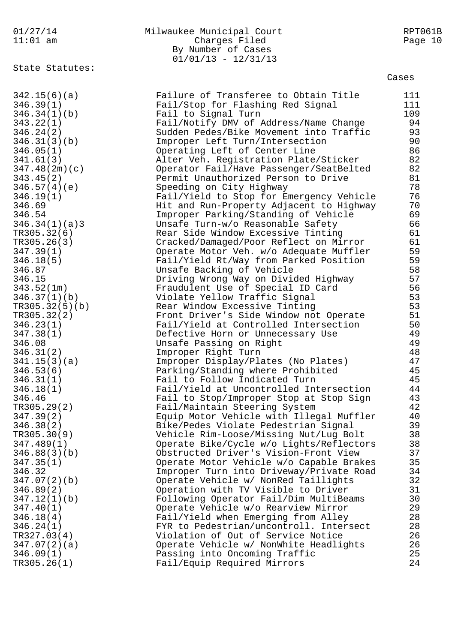01/27/14 Milwaukee Municipal Court RPT061B 11:01 am Charges Filed Page 10 By Number of Cases  $01/01/13 - 12/31/13$ State Statutes: Cases 342.15(6)(a) Failure of Transferee to Obtain Title 111 346.39(1) Fail/Stop for Flashing Red Signal 111 346.34(1)(b) Fail to Signal Turn 109 343.22(1) Fail/Notify DMV of Address/Name Change 94 346.24(2) Sudden Pedes/Bike Movement into Traffic 93 346.31(3)(b) Improper Left Turn/Intersection 90 346.05(1) Operating Left of Center Line 86 341.61(3) Alter Veh. Registration Plate/Sticker 82 347.48(2m)(c) Operator Fail/Have Passenger/SeatBelted 82 343.45(2) Permit Unauthorized Person to Drive 81 346.57(4)(e) Speeding on City Highway 78 346.19(1) Fail/Yield to Stop for Emergency Vehicle 76 346.69 Hit and Run-Property Adjacent to Highway 70 346.54 Improper Parking/Standing of Vehicle 69 346.34(1)(a)3 Unsafe Turn-w/o Reasonable Safety 66 TR305.32(6) Rear Side Window Excessive Tinting 61 TR305.26(3) Cracked/Damaged/Poor Reflect on Mirror 61 347.39(1) Operate Motor Veh. w/o Adequate Muffler 59 346.18(5) Fail/Yield Rt/Way from Parked Position 59 346.87 Unsafe Backing of Vehicle 58 346.15 Driving Wrong Way on Divided Highway 57 343.52(1m) Fraudulent Use of Special ID Card 56 346.37(1)(b) Violate Yellow Traffic Signal 53 TR305.32(5)(b) Rear Window Excessive Tinting 53 TR305.32(2) Front Driver's Side Window not Operate 51 346.23(1) Fail/Yield at Controlled Intersection 50 347.38(1) Defective Horn or Unnecessary Use 49 346.08 Unsafe Passing on Right 49 346.31(2) Improper Right Turn 48 341.15(3)(a) Improper Display/Plates (No Plates) 47 346.53(6) Parking/Standing where Prohibited 45 346.31(1) Fail to Follow Indicated Turn 45 346.18(1) Fail/Yield at Uncontrolled Intersection 44 346.46 Fail to Stop/Improper Stop at Stop Sign 43 TR305.29(2) Fail/Maintain Steering System 42 347.39(2) Equip Motor Vehicle with Illegal Muffler 40 346.38(2) Bike/Pedes Violate Pedestrian Signal 39 TR305.30(9) Vehicle Rim-Loose/Missing Nut/Lug Bolt 38 347.489(1) Operate Bike/Cycle w/o Lights/Reflectors 38 346.88(3)(b) Obstructed Driver's Vision-Front View 37 347.35(1) Operate Motor Vehicle w/o Capable Brakes 35 346.32 Improper Turn into Driveway/Private Road 34 347.07(2)(b) Operate Vehicle w/ NonRed Taillights 32 346.89(2) Operation with TV Visible to Driver 31 347.12(1)(b) Following Operator Fail/Dim MultiBeams 30 347.40(1) Operate Vehicle w/o Rearview Mirror 29 346.18(4) Fail/Yield when Emerging from Alley 28 346.24(1) FYR to Pedestrian/uncontroll. Intersect 28 TR327.03(4) Violation of Out of Service Notice 26 347.07(2)(a) Operate Vehicle w/ NonWhite Headlights 26 346.09(1) Passing into Oncoming Traffic 25 TR305.26(1) Fail/Equip Required Mirrors 24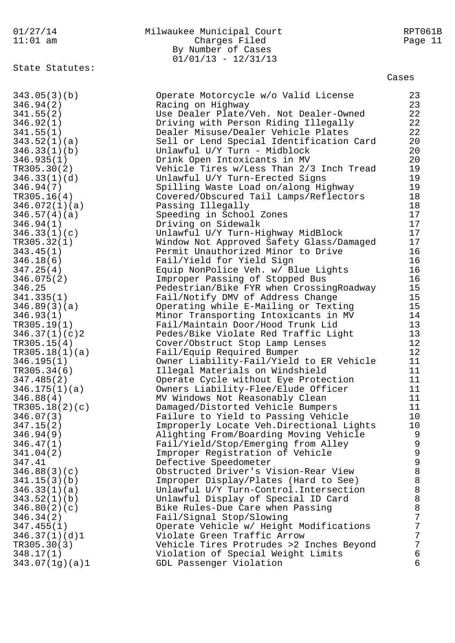| 01/27/14<br>$11:01$ am      | Milwaukee Municipal Court<br>Charges Filed<br>By Number of Cases<br>$01/01/13 - 12/31/13$ | RPT061B<br>Page 11 |
|-----------------------------|-------------------------------------------------------------------------------------------|--------------------|
| State Statutes:             |                                                                                           | Cases              |
| 343.05(3)(b)                | Operate Motorcycle w/o Valid License                                                      | 23                 |
| 346.94(2)                   | Racing on Highway                                                                         | 23                 |
| 341.55(2)                   | Use Dealer Plate/Veh. Not Dealer-Owned                                                    | 22                 |
| 346.92(1)                   | Driving with Person Riding Illegally                                                      | 22                 |
| 341.55(1)                   | Dealer Misuse/Dealer Vehicle Plates                                                       | 22                 |
| 343.52(1)(a)                | Sell or Lend Special Identification Card                                                  | 20                 |
| 346.33(1)(b)                | Unlawful U/Y Turn - Midblock                                                              | 20                 |
| 346.935(1)                  | Drink Open Intoxicants in MV                                                              | 20                 |
| TR305.30(2)                 | Vehicle Tires w/Less Than 2/3 Inch Tread                                                  | 19                 |
| 346.33(1)(d)                | Unlawful U/Y Turn-Erected Signs                                                           | 19                 |
| 346.94(7)                   | Spilling Waste Load on/along Highway                                                      | 19                 |
| TR305.16(4)                 | Covered/Obscured Tail Lamps/Reflectors                                                    | 18                 |
| 346.072(1)(a)               | Passing Illegally                                                                         | 18                 |
| 346.57(4)(a)                | Speeding in School Zones                                                                  | 17                 |
| 346.94(1)                   | Driving on Sidewalk                                                                       | 17<br>17           |
| 346.33(1)(c)<br>TR305.32(1) | Unlawful U/Y Turn-Highway MidBlock<br>Window Not Approved Safety Glass/Damaged            | 17                 |
| 343.45(1)                   | Permit Unauthorized Minor to Drive                                                        | 16                 |
| 346.18(6)                   | Fail/Yield for Yield Sign                                                                 | 16                 |
| 347.25(4)                   | Equip NonPolice Veh. w/ Blue Lights                                                       | 16                 |
| 346.075(2)                  | Improper Passing of Stopped Bus                                                           | 16                 |
| 346.25                      | Pedestrian/Bike FYR when CrossingRoadway                                                  | 15                 |
| 341.335(1)                  | Fail/Notify DMV of Address Change                                                         | 15                 |
| 346.89(3)(a)                | Operating while E-Mailing or Texting                                                      | 15                 |
| 346.93(1)                   | Minor Transporting Intoxicants in MV                                                      | 14                 |
| TR305.19(1)                 | Fail/Maintain Door/Hood Trunk Lid                                                         | 13                 |
| 346.37(1)(c)                | Pedes/Bike Violate Red Traffic Light                                                      | 13                 |
| TR305.15(4)                 | Cover/Obstruct Stop Lamp Lenses                                                           | 12                 |
| TR305.18(1)(a)              | Fail/Equip Required Bumper                                                                | 12                 |
| 346.195(1)                  | Owner Liability-Fail/Yield to ER Vehicle                                                  | 11                 |
| TR305.34(6)                 | Illegal Materials on Windshield                                                           | 11                 |
| 347.485(2)                  | Operate Cycle without Eye Protection                                                      | 11                 |
| 346.175(1)(a)               | Owners Liability-Flee/Elude Officer                                                       | 11                 |
| 346.88(4)                   | MV Windows Not Reasonably Clean                                                           | 11                 |
| TR305.18(2)(c)              | Damaged/Distorted Vehicle Bumpers                                                         | 11                 |
| 346.07(3)                   | Failure to Yield to Passing Vehicle                                                       | 10<br>10           |
| 347.15(2)<br>346.94(9)      | Improperly Locate Veh.Directional Lights<br>Alighting From/Boarding Moving Vehicle        | 9                  |
| 346.47(1)                   | Fail/Yield/Stop/Emerging from Alley                                                       | 9                  |
| 341.04(2)                   | Improper Registration of Vehicle                                                          | 9                  |
| 347.41                      | Defective Speedometer                                                                     | 9                  |
| 346.88(3)(c)                | Obstructed Driver's Vision-Rear View                                                      | 8                  |
| 341.15(3)(b)                | Improper Display/Plates (Hard to See)                                                     | 8                  |
| 346.33(1)(a)                | Unlawful U/Y Turn-Control. Intersection                                                   | 8                  |
| 343.52(1)(b)                | Unlawful Display of Special ID Card                                                       | 8                  |
| 346.80(2)(c)                | Bike Rules-Due Care when Passing                                                          | 8                  |
| 346.34(2)                   | Fail/Signal Stop/Slowing                                                                  | 7                  |
| 347.455(1)                  | Operate Vehicle w/ Height Modifications                                                   | 7                  |
| 346.37(1)(d)1               | Violate Green Traffic Arrow                                                               | 7                  |
| TR305.30(3)                 | Vehicle Tires Protrudes >2 Inches Beyond                                                  | 7                  |
| 348.17(1)                   | Violation of Special Weight Limits                                                        | 6                  |
| 343.07(1g)(a)1              | GDL Passenger Violation                                                                   | 6                  |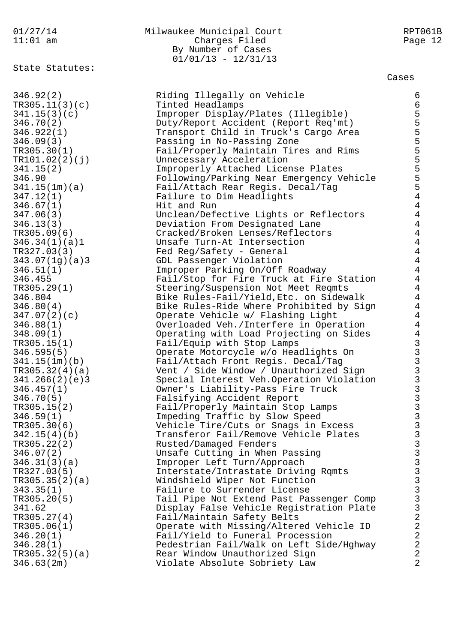State Statutes:

# 01/27/14 Milwaukee Municipal Court RPT061B 11:01 am Charges Filed Page 12 By Number of Cases  $01/01/13 - 12/31/13$

#### Cases

346.92(2) Riding Illegally on Vehicle 6 TR305.11(3)(c) Tinted Headlamps 6 341.15(3)(c) Improper Display/Plates (Illegible) 5 346.70(2) Duty/Report Accident (Report Req'mt) 5 346.922(1) Transport Child in Truck's Cargo Area 5 346.09(3) Passing in No-Passing Zone 5 TR305.30(1) Fail/Properly Maintain Tires and Rims 5 TR101.02(2)(j) Unnecessary Acceleration 5 341.15(2) Improperly Attached License Plates 5 346.90 Following/Parking Near Emergency Vehicle 5 341.15(1m)(a) Fail/Attach Rear Regis. Decal/Tag 5 347.12(1) Failure to Dim Headlights 4 346.67(1) Hit and Run 4 347.06(3) Unclean/Defective Lights or Reflectors 4 346.13(3) Deviation From Designated Lane 4 TR305.09(6) Cracked/Broken Lenses/Reflectors 4 346.34(1)(a)1 Unsafe Turn-At Intersection 4 TR327.03(3) Fed Reg/Safety - General 4 343.07(1g)(a)3 GDL Passenger Violation 4 346.51(1) Improper Parking On/Off Roadway 4 346.455 Fail/Stop for Fire Truck at Fire Station 4 TR305.29(1) Steering/Suspension Not Meet Reqmts 4 346.804 Bike Rules-Fail/Yield,Etc. on Sidewalk 4 346.80(4) Bike Rules-Ride Where Prohibited by Sign 4 347.07(2)(c) Operate Vehicle w/ Flashing Light 4 346.88(1) Overloaded Veh./Interfere in Operation 4 348.09(1) Operating with Load Projecting on Sides 4 TR305.15(1) Fail/Equip with Stop Lamps 3 346.595(5) Operate Motorcycle w/o Headlights On 3 341.15(1m)(b) Fail/Attach Front Regis. Decal/Tag 3 TR305.32(4)(a) Vent / Side Window / Unauthorized Sign 3 341.266(2)(e)3 Special Interest Veh.Operation Violation 3 346.457(1) Owner's Liability-Pass Fire Truck 3 346.70(5) Falsifying Accident Report 3 TR305.15(2) Fail/Properly Maintain Stop Lamps 346.59(1) Impeding Traffic by Slow Speed 3 TR305.30(6) Vehicle Tire/Cuts or Snags in Excess 3 342.15(4)(b) Transferor Fail/Remove Vehicle Plates 3 TR305.22(2) Rusted/Damaged Fenders 3 346.07(2) Unsafe Cutting in When Passing 3 346.31(3)(a) Improper Left Turn/Approach 3 TR327.03(5) Interstate/Intrastate Driving Rqmts 3 TR305.35(2)(a) Windshield Wiper Not Function 3 343.35(1) Failure to Surrender License 3 TR305.20(5) Tail Pipe Not Extend Past Passenger Comp 341.62 Display False Vehicle Registration Plate 3 TR305.27(4) Fail/Maintain Safety Belts 2 TR305.06(1) Operate with Missing/Altered Vehicle ID 2 346.20(1) Fail/Yield to Funeral Procession 2 346.28(1) Pedestrian Fail/Walk on Left Side/Hghway 2 TR305.32(5)(a) Rear Window Unauthorized Sign 2 346.63(2m) Violate Absolute Sobriety Law 2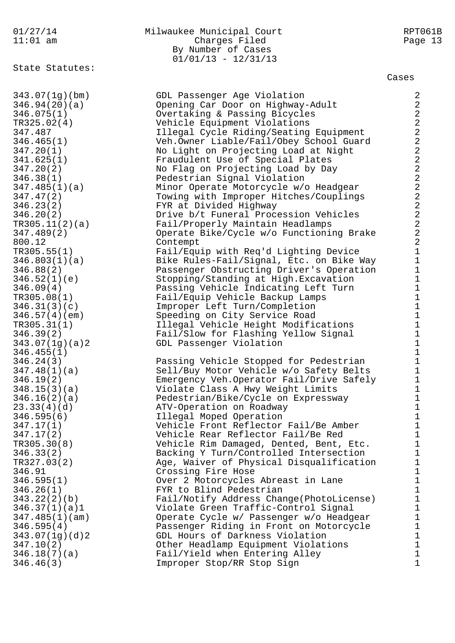State Statutes:

#### 01/27/14 Milwaukee Municipal Court RPT061B 11:01 am Charges Filed Page 13 By Number of Cases  $01/01/13 - 12/31/13$

Cases

343.07(1g)(bm) GDL Passenger Age Violation 2 346.94(20)(a) Opening Car Door on Highway-Adult 2 346.075(1) Overtaking & Passing Bicycles 2 TR325.02(4) Vehicle Equipment Violations 2 347.487 Illegal Cycle Riding/Seating Equipment 2 346.465(1) Veh.Owner Liable/Fail/Obey School Guard 2 347.20(1) No Light on Projecting Load at Night 2 341.625(1) Fraudulent Use of Special Plates 2 347.20(2) No Flag on Projecting Load by Day 2 346.38(1) Pedestrian Signal Violation 2 347.485(1)(a) Minor Operate Motorcycle w/o Headgear 2 347.47(2) Towing with Improper Hitches/Couplings 2 346.23(2) FYR at Divided Highway 2 346.20(2) Drive b/t Funeral Procession Vehicles 2 TR305.11(2)(a) Fail/Properly Maintain Headlamps 2 347.489(2) Operate Bike/Cycle w/o Functioning Brake 2 800.12 Contempt 2 TR305.55(1) Fail/Equip with Req'd Lighting Device 1 346.803(1)(a) Bike Rules-Fail/Signal, Etc. on Bike Way 1 346.88(2) Passenger Obstructing Driver's Operation 1 346.52(1)(e) Stopping/Standing at High.Excavation 1 346.09(4) Passing Vehicle Indicating Left Turn 1 TR305.08(1) Fail/Equip Vehicle Backup Lamps 1 346.31(3)(c) Improper Left Turn/Completion 1 346.57(4)(em) Speeding on City Service Road 1 TR305.31(1) Illegal Vehicle Height Modifications 1 346.39(2) Fail/Slow for Flashing Yellow Signal 1 343.07(1g)(a)2 GDL Passenger Violation 1  $346.455(1)$  1 346.24(3) Passing Vehicle Stopped for Pedestrian 1 347.48(1)(a) Sell/Buy Motor Vehicle w/o Safety Belts 1 346.19(2) Emergency Veh.Operator Fail/Drive Safely 1 348.15(3)(a) Violate Class A Hwy Weight Limits 1 346.16(2)(a) Pedestrian/Bike/Cycle on Expressway 1 23.33(4)(d) The ATV-Operation on Roadway 1 346.595(6) Illegal Moped Operation 1 347.17(1) Vehicle Front Reflector Fail/Be Amber 1 347.17(2) Vehicle Rear Reflector Fail/Be Red 1 TR305.30(8) Vehicle Rim Damaged, Dented, Bent, Etc. 1 346.33(2) Backing Y Turn/Controlled Intersection 1 TR327.03(2) Age, Waiver of Physical Disqualification 1 346.91 Crossing Fire Hose 1 346.595(1) Over 2 Motorcycles Abreast in Lane 1 346.26(1) FYR to Blind Pedestrian 1 343.22(2)(b) Fail/Notify Address Change(PhotoLicense) 1 346.37(1)(a)1 Violate Green Traffic-Control Signal 1 347.485(1)(am) Operate Cycle w/ Passenger w/o Headgear 1 346.595(4) Passenger Riding in Front on Motorcycle 1 343.07(1g)(d)2 GDL Hours of Darkness Violation 1 347.10(2) Other Headlamp Equipment Violations 1 346.18(7)(a) Fail/Yield when Entering Alley 1 346.46(3) Tmproper Stop/RR Stop Sign 1